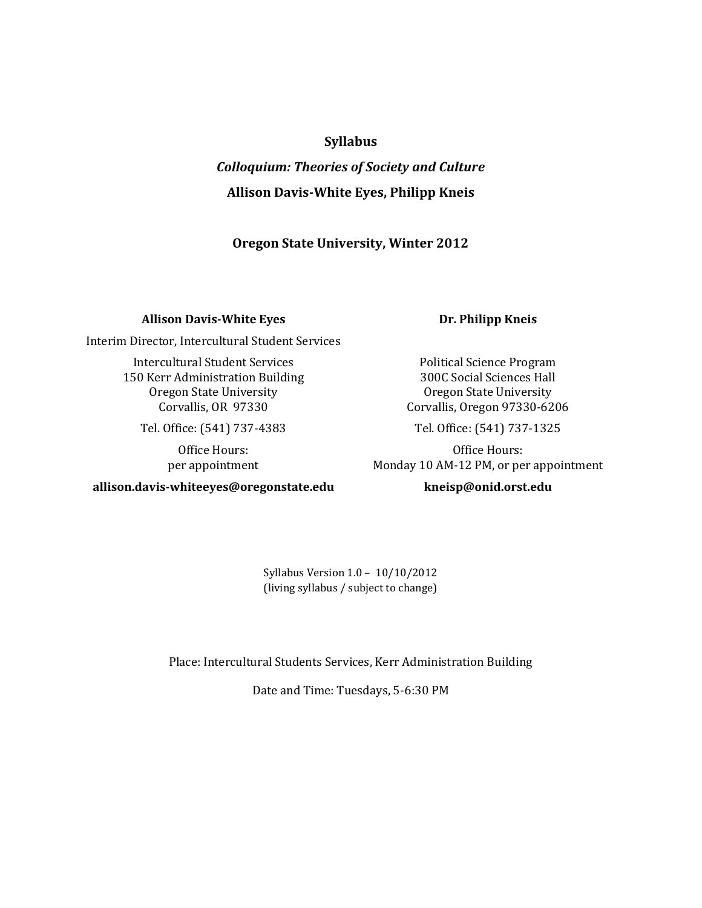### **Syllabus**

# *Colloquium: Theories of Society and Culture* **Allison Davis-White Eyes, Philipp Kneis**

#### **Oregon State University, Winter 2012**

#### **Allison Davis-White Eyes**

Interim Director, Intercultural Student Services

Intercultural Student Services 150 Kerr Administration Building Oregon State University Corvallis, OR 97330

Tel. Office: (541) 737-4383

Office Hours: per appointment

**allison.davis-whiteeyes@oregonstate.edu**

#### **Dr. Philipp Kneis**

Political Science Program 300C Social Sciences Hall Oregon State University Corvallis, Oregon 97330-6206

Tel. Office: (541) 737-1325

Office Hours: Monday 10 AM-12 PM, or per appointment

#### **kneisp@onid.orst.edu**

Syllabus Version 1.0 – 10/10/2012 (living syllabus / subject to change)

Place: Intercultural Students Services, Kerr Administration Building

Date and Time: Tuesdays, 5-6:30 PM